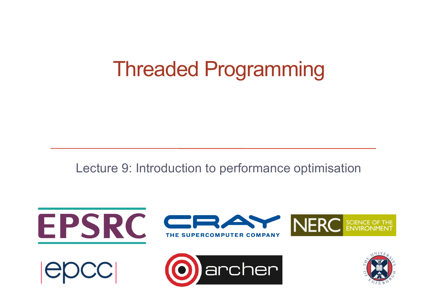#### Threaded Programming

Lecture 9: Introduction to performance optimisation

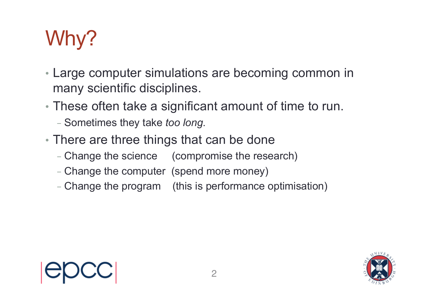# Why?

- Large computer simulations are becoming common in many scientific disciplines.
- These often take a significant amount of time to run.
	- Sometimes they take *too long*.
- There are three things that can be done
	- Change the science (compromise the research)
	- Change the computer (spend more money)
	- Change the program (this is performance optimisation)



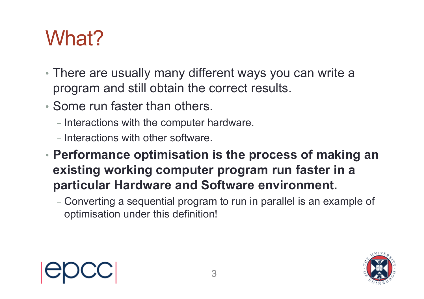# What?

- There are usually many different ways you can write a program and still obtain the correct results.
- Some run faster than others.
	- Interactions with the computer hardware.
	- Interactions with other software.
- **Performance optimisation is the process of making an existing working computer program run faster in a particular Hardware and Software environment.**
	- Converting a sequential program to run in parallel is an example of optimisation under this definition!

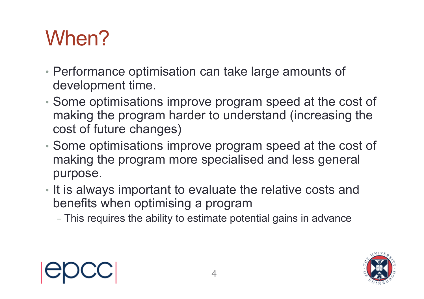# When?

- Performance optimisation can take large amounts of development time.
- Some optimisations improve program speed at the cost of making the program harder to understand (increasing the cost of future changes)
- Some optimisations improve program speed at the cost of making the program more specialised and less general purpose.
- It is always important to evaluate the relative costs and benefits when optimising a program
	- This requires the ability to estimate potential gains in advance



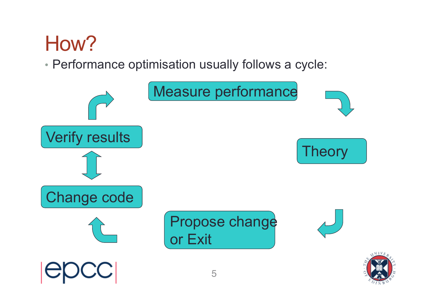# How?

#### • Performance optimisation usually follows a cycle:

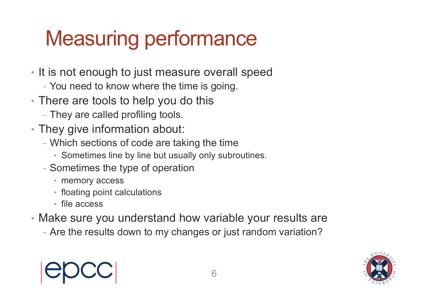# Measuring performance

- It is not enough to just measure overall speed
	- You need to know where the time is going.
- There are tools to help you do this
	- They are called profiling tools.
- They give information about:
	- Which sections of code are taking the time
		- Sometimes line by line but usually only subroutines.
	- Sometimes the type of operation
		- memory access
		- floating point calculations
		- file access
- Make sure you understand how variable your results are
	- Are the results down to my changes or just random variation?

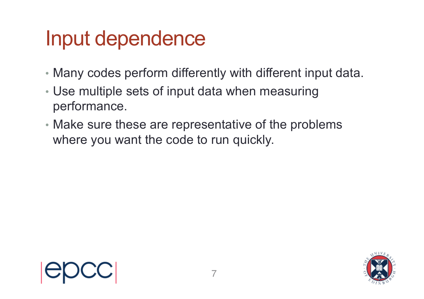### Input dependence

- Many codes perform differently with different input data.
- Use multiple sets of input data when measuring performance.
- Make sure these are representative of the problems where you want the code to run quickly.



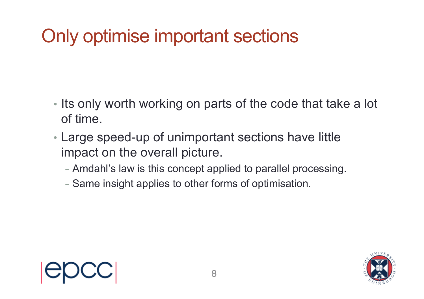#### Only optimise important sections

- Its only worth working on parts of the code that take a lot of time.
- Large speed-up of unimportant sections have little impact on the overall picture.
	- Amdahl's law is this concept applied to parallel processing.
	- Same insight applies to other forms of optimisation.



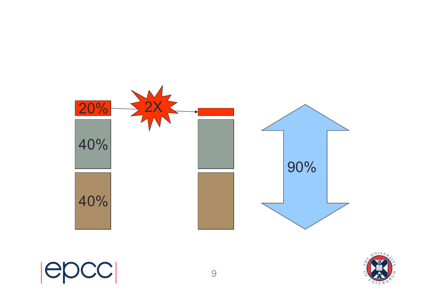



epcc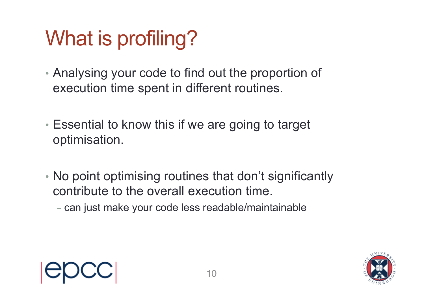# What is profiling?

- Analysing your code to find out the proportion of execution time spent in different routines.
- Essential to know this if we are going to target optimisation.
- No point optimising routines that don't significantly contribute to the overall execution time.
	- can just make your code less readable/maintainable

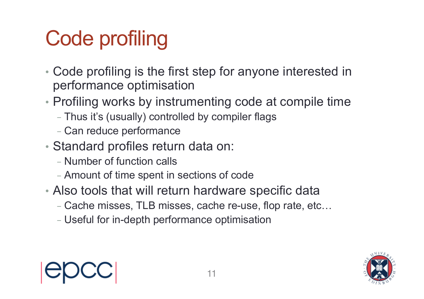# Code profiling

- Code profiling is the first step for anyone interested in performance optimisation
- Profiling works by instrumenting code at compile time
	- Thus it's (usually) controlled by compiler flags
	- Can reduce performance
- Standard profiles return data on:
	- Number of function calls
	- Amount of time spent in sections of code
- Also tools that will return hardware specific data
	- Cache misses, TLB misses, cache re-use, flop rate, etc…
	- Useful for in-depth performance optimisation



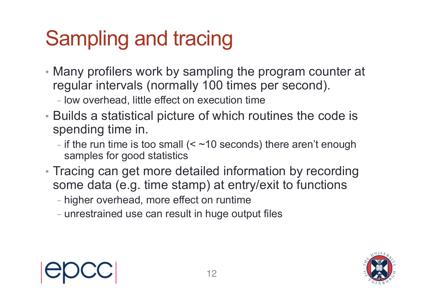# Sampling and tracing

- Many profilers work by sampling the program counter at regular intervals (normally 100 times per second).
	- low overhead, little effect on execution time
- Builds a statistical picture of which routines the code is spending time in.
	- if the run time is too small  $(<$  ~10 seconds) there aren't enough samples for good statistics
- Tracing can get more detailed information by recording some data (e.g. time stamp) at entry/exit to functions
	- higher overhead, more effect on runtime
	- unrestrained use can result in huge output files



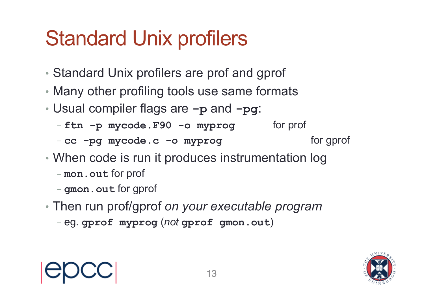# Standard Unix profilers

- Standard Unix profilers are prof and gprof
- Many other profiling tools use same formats
- Usual compiler flags are **-p** and **-pg**:
	- ftn -p mycode.F90 -o myprog for prof
	- cc -pg mycode.c -o myprog **state** for gprof
- 
- When code is run it produces instrumentation log
	- **mon.out** for prof
	- **gmon.out** for gprof
- Then run prof/gprof *on your executable program*
	- eg. **gprof myprog** (*not* **gprof gmon.out**)



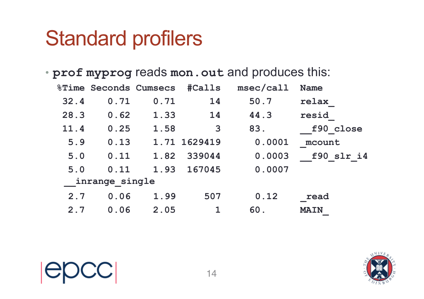#### Standard profilers

#### • **prof myprog** reads **mon.out** and produces this:

|      |                | <b>&amp;Time Seconds Cumsecs</b> |              | #Calls msec/call | <b>Name</b> |
|------|----------------|----------------------------------|--------------|------------------|-------------|
| 32.4 | 0.71           | 0.71                             | 14           | 50.7             | relax       |
| 28.3 | 0.62           | 1.33                             | 14           | 44.3             | resid       |
| 11.4 | 0.25           | 1.58                             | 3            | 83.              | f90 close   |
| 5.9  | 0.13           |                                  | 1.71 1629419 | 0.0001           | mcount      |
| 5.0  | 0.11           | 1.82                             | 339044       | 0.0003           | f90 slr i4  |
| 5.0  | 0.11           |                                  | 1.93 167045  | 0.0007           |             |
|      | inrange single |                                  |              |                  |             |
| 2.7  | 0.06           | 1.99                             | 507          | 0.12             | read        |
| 2.7  | 0.06           | 2.05                             | $\mathbf 1$  | 60.              | <b>MAIN</b> |

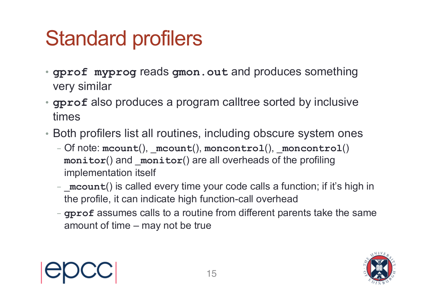# Standard profilers

- **gprof myprog** reads **gmon.out** and produces something very similar
- **gprof** also produces a program calltree sorted by inclusive times
- Both profilers list all routines, including obscure system ones
	- Of note: **mcount**(), \_**mcount**(), **moncontrol**(), \_**moncontrol**() **monitor**() and \_**monitor**() are all overheads of the profiling implementation itself
	- **mcount**() is called every time your code calls a function; if it's high in the profile, it can indicate high function-call overhead
	- **gprof** assumes calls to a routine from different parents take the same amount of time – may not be true



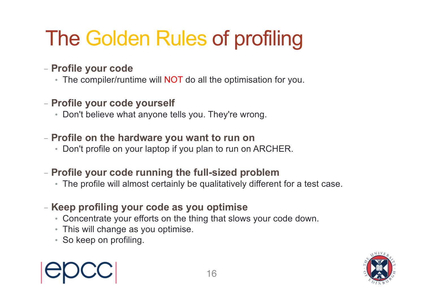# The Golden Rules of profiling

#### - **Profile your code**

- The compiler/runtime will **NOT** do all the optimisation for you.
- **Profile your code yourself**
	- Don't believe what anyone tells you. They're wrong.

#### - **Profile on the hardware you want to run on**

• Don't profile on your laptop if you plan to run on ARCHER.

#### - **Profile your code running the full-sized problem**

• The profile will almost certainly be qualitatively different for a test case.

#### - **Keep profiling your code as you optimise**

- Concentrate your efforts on the thing that slows your code down.
- This will change as you optimise.
- So keep on profiling.



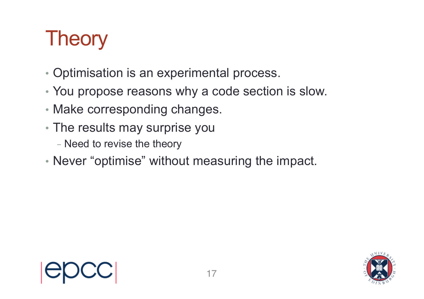# **Theory**

- Optimisation is an experimental process.
- You propose reasons why a code section is slow.
- Make corresponding changes.
- The results may surprise you
	- Need to revise the theory
- Never "optimise" without measuring the impact.



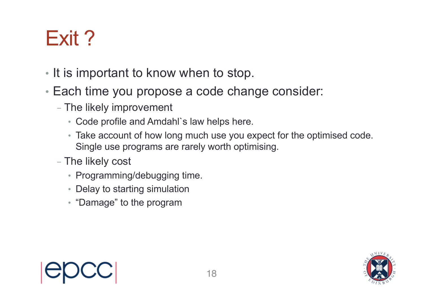# Exit ?

- It is important to know when to stop.
- Each time you propose a code change consider:
	- The likely improvement
		- Code profile and Amdahl`s law helps here.
		- Take account of how long much use you expect for the optimised code. Single use programs are rarely worth optimising.
	- The likely cost
		- Programming/debugging time.
		- Delay to starting simulation
		- "Damage" to the program



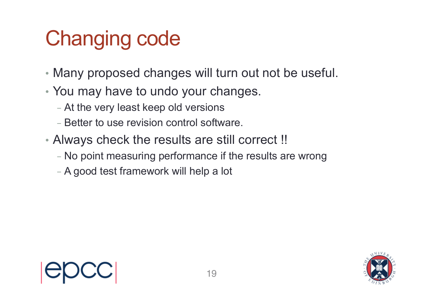# Changing code

- Many proposed changes will turn out not be useful.
- You may have to undo your changes.
	- At the very least keep old versions
	- Better to use revision control software.
- Always check the results are still correct !!
	- No point measuring performance if the results are wrong
	- A good test framework will help a lot

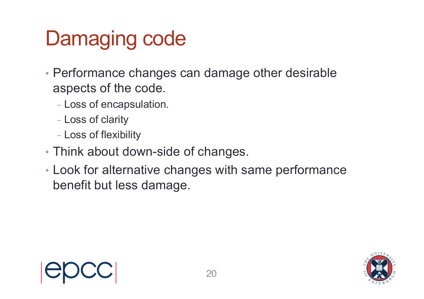# Damaging code

- Performance changes can damage other desirable aspects of the code.
	- Loss of encapsulation.
	- Loss of clarity
	- Loss of flexibility
- Think about down-side of changes.
- Look for alternative changes with same performance benefit but less damage.

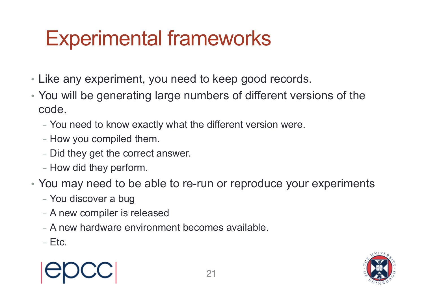## Experimental frameworks

- Like any experiment, you need to keep good records.
- You will be generating large numbers of different versions of the code.
	- You need to know exactly what the different version were.
	- How you compiled them.
	- Did they get the correct answer.
	- How did they perform.
- You may need to be able to re-run or reproduce your experiments
	- You discover a bug
	- A new compiler is released
	- A new hardware environment becomes available.
	- $-$  Etc.

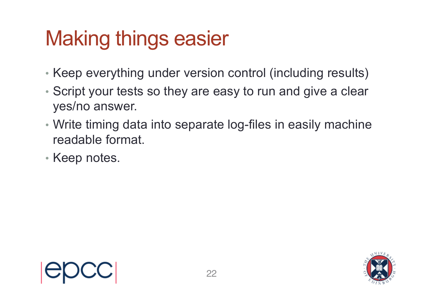# Making things easier

- Keep everything under version control (including results)
- Script your tests so they are easy to run and give a clear yes/no answer.
- Write timing data into separate log-files in easily machine readable format.
- Keep notes.

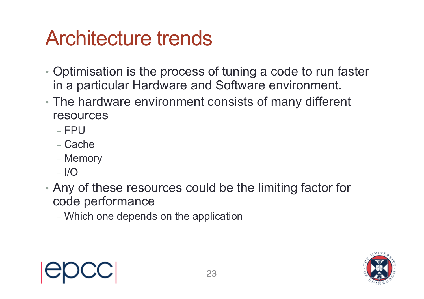### Architecture trends

- Optimisation is the process of tuning a code to run faster in a particular Hardware and Software environment.
- The hardware environment consists of many different resources
	- $-$  FPU
	- Cache
	- Memory
	- $-$  I/O
- Any of these resources could be the limiting factor for code performance
	- Which one depends on the application



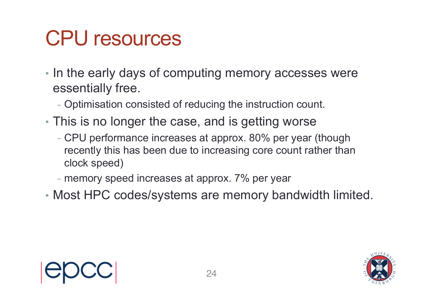## CPU resources

- In the early days of computing memory accesses were essentially free.
	- Optimisation consisted of reducing the instruction count.
- This is no longer the case, and is getting worse
	- CPU performance increases at approx. 80% per year (though recently this has been due to increasing core count rather than clock speed)
	- memory speed increases at approx. 7% per year
- Most HPC codes/systems are memory bandwidth limited.

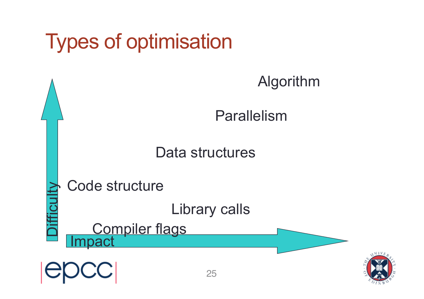

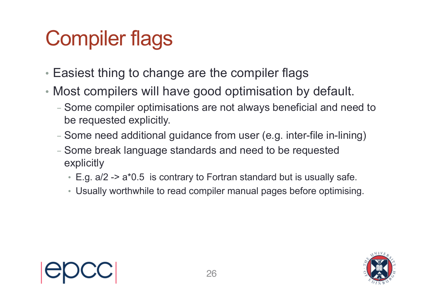# Compiler flags

- Easiest thing to change are the compiler flags
- Most compilers will have good optimisation by default.
	- Some compiler optimisations are not always beneficial and need to be requested explicitly.
	- Some need additional guidance from user (e.g. inter-file in-lining)
	- Some break language standards and need to be requested explicitly
		- E.g. a/2 -> a\*0.5 is contrary to Fortran standard but is usually safe.
		- Usually worthwhile to read compiler manual pages before optimising.

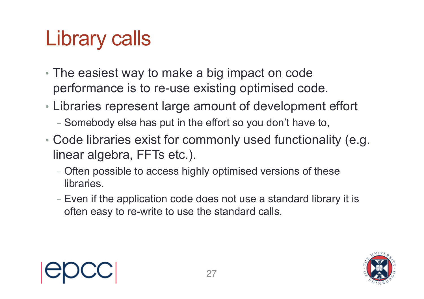# Library calls

- The easiest way to make a big impact on code performance is to re-use existing optimised code.
- Libraries represent large amount of development effort
	- Somebody else has put in the effort so you don't have to,
- Code libraries exist for commonly used functionality (e.g. linear algebra, FFTs etc.).
	- Often possible to access highly optimised versions of these libraries.
	- Even if the application code does not use a standard library it is often easy to re-write to use the standard calls.



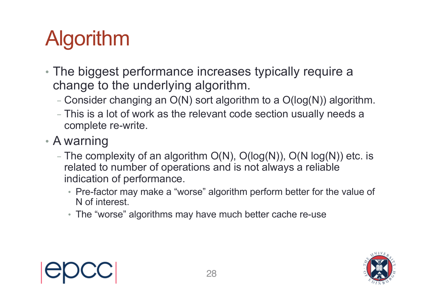# Algorithm

- The biggest performance increases typically require a change to the underlying algorithm.
	- Consider changing an  $O(N)$  sort algorithm to a  $O(log(N))$  algorithm.
	- This is a lot of work as the relevant code section usually needs a complete re-write.
- A warning
	- The complexity of an algorithm  $O(N)$ ,  $O(log(N))$ ,  $O(N log(N))$  etc. is related to number of operations and is not always a reliable indication of performance.
		- Pre-factor may make a "worse" algorithm perform better for the value of N of interest.
		- The "worse" algorithms may have much better cache re-use

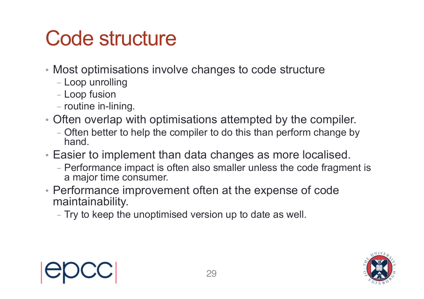## Code structure

- Most optimisations involve changes to code structure
	- Loop unrolling
	- Loop fusion
	- routine in-lining.
- Often overlap with optimisations attempted by the compiler.
	- Often better to help the compiler to do this than perform change by hand.
- Easier to implement than data changes as more localised.
	- Performance impact is often also smaller unless the code fragment is a major time consumer.
- Performance improvement often at the expense of code maintainability.
	- Try to keep the unoptimised version up to date as well.



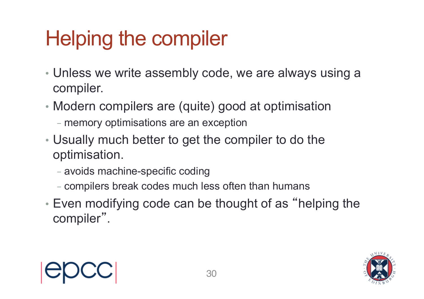# Helping the compiler

- Unless we write assembly code, we are always using a compiler.
- Modern compilers are (quite) good at optimisation
	- memory optimisations are an exception
- Usually much better to get the compiler to do the optimisation.
	- avoids machine-specific coding
	- compilers break codes much less often than humans
- Even modifying code can be thought of as "helping the compiler".

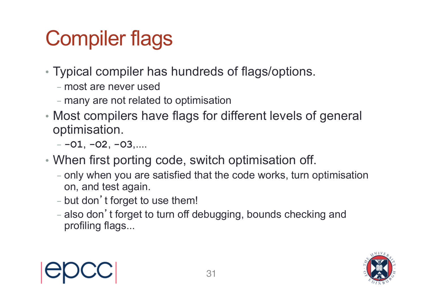# Compiler flags

- Typical compiler has hundreds of flags/options.
	- most are never used
	- many are not related to optimisation
- Most compilers have flags for different levels of general optimisation.
	- **-O1**, **-O2**, **-O3**,....
- When first porting code, switch optimisation off.
	- only when you are satisfied that the code works, turn optimisation on, and test again.
	- but don't forget to use them!
	- also don't forget to turn off debugging, bounds checking and profiling flags...



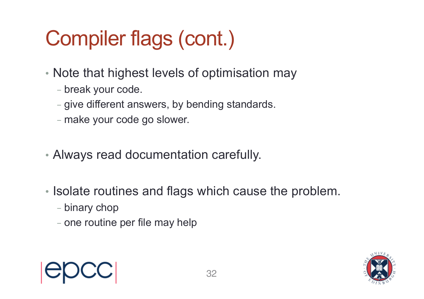# Compiler flags (cont.)

- Note that highest levels of optimisation may
	- break your code.
	- give different answers, by bending standards.
	- make your code go slower.
- Always read documentation carefully.
- Isolate routines and flags which cause the problem.
	- binary chop
	- one routine per file may help

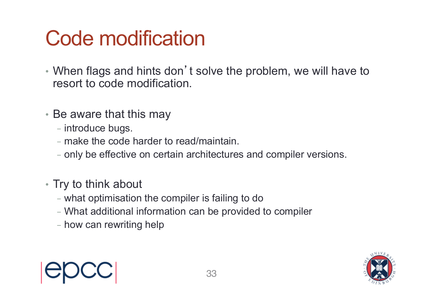## Code modification

- When flags and hints don't solve the problem, we will have to resort to code modification.
- Be aware that this may
	- introduce bugs.
	- make the code harder to read/maintain.
	- only be effective on certain architectures and compiler versions.
- Try to think about
	- what optimisation the compiler is failing to do
	- What additional information can be provided to compiler
	- how can rewriting help



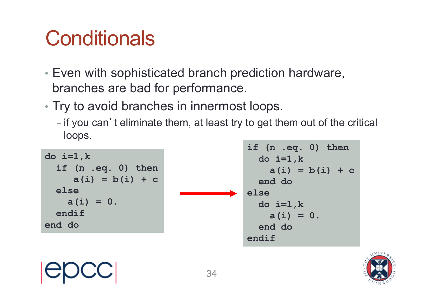# **Conditionals**

- Even with sophisticated branch prediction hardware, branches are bad for performance.
- Try to avoid branches in innermost loops.
	- if you can't eliminate them, at least try to get them out of the critical loops.

**do i=1,k if (n .eq. 0) then a(i) = b(i) + c else a(i) = 0. endif end do** 

**if (n .eq. 0) then do i=1,k a(i) = b(i) + c end do else do i=1,k a(i) = 0. end do endif**

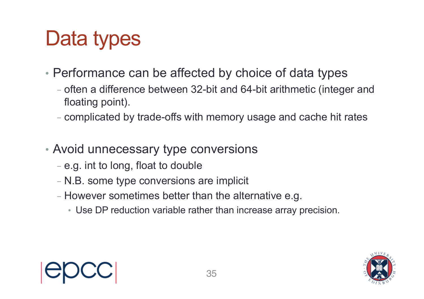# Data types

- Performance can be affected by choice of data types
	- often a difference between 32-bit and 64-bit arithmetic (integer and floating point).
	- complicated by trade-offs with memory usage and cache hit rates
- Avoid unnecessary type conversions
	- e.g. int to long, float to double
	- N.B. some type conversions are implicit
	- However sometimes better than the alternative e.g.
		- Use DP reduction variable rather than increase array precision.

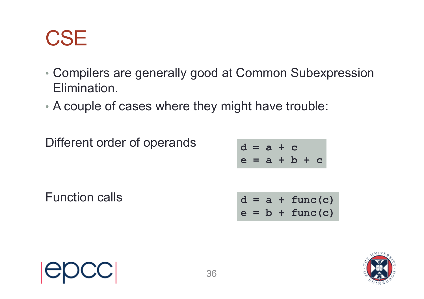#### **CSE**

- Compilers are generally good at Common Subexpression Elimination.
- A couple of cases where they might have trouble:

Different order of operands

$$
d = a + c
$$
  

$$
e = a + b + c
$$

Function calls

$$
d = a + func(c)
$$
  

$$
e = b + func(c)
$$

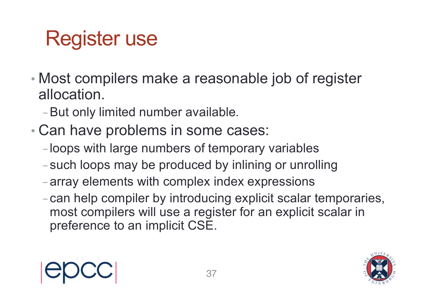# Register use

- Most compilers make a reasonable job of register allocation.
	- -But only limited number available.
- Can have problems in some cases:
	- -loops with large numbers of temporary variables
	- -such loops may be produced by inlining or unrolling
	- -array elements with complex index expressions
	- -can help compiler by introducing explicit scalar temporaries, most compilers will use a register for an explicit scalar in preference to an implicit CSE.



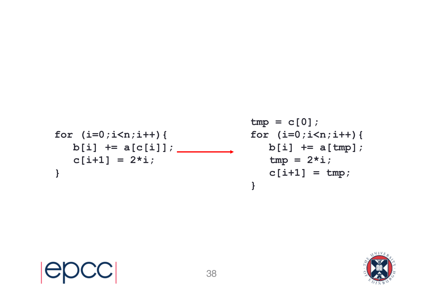$$
\begin{array}{ll}\n\text{for} & \text{if } i = 0; \text{if } i < n; \text{if } i + j \text{ for } i \\
& \text{if } i = 1 \text{ if } i = 1 \text{ if } i = 2 \text{ if } i \text{ for } i \text{ for } i \text{ for } i \text{ for } i \text{ for } i \text{ for } i \text{ for } i \text{ for } i \text{ for } i \text{ for } i \text{ for } i \text{ for } i \text{ for } i \text{ for } i \text{ for } i \text{ for } i \text{ for } i \text{ for } i \text{ for } i \text{ for } i \text{ for } i \text{ for } i \text{ for } i \text{ for } i \text{ for } i \text{ for } i \text{ for } i \text{ for } i \text{ for } i \text{ for } i \text{ for } i \text{ for } i \text{ for } i \text{ for } i \text{ for } i \text{ for } i \text{ for } i \text{ for } i \text{ for } i \text{ for } i \text{ for } i \text{ for } i \text{ for } i \text{ for } i \text{ for } i \text{ for } i \text{ for } i \text{ for } i \text{ for } i \text{ for } i \text{ for } i \text{ for } i \text{ for } i \text{ for } i \text{ for } i \text{ for } i \text{ for } i \text{ for } i \text{ for } i \text{ for } i \text{ for } i \text{ for } i \text{ for } i \text{ for } i \text{ for } i \text{ for } i \text{ for } i \text{ for } i \text{ for } i \text{ for } i \text{ for } i \text{ for } i \text{ for } i \text{ for } i \text{ for } i \text{ for } i \text{ for } i \text{ for } i \text{ for } i \text{ for } i \text{ for } i \text{ for } i \text{ for } i \text{ for } i \text{ for } i \text{ for } i \text{ for } i \text{ for } i \text{ for } i \text{ for } i \text{ for } i \text{ for } i \text{ for } i \text{ for } i \text{ for } i \text{ for } i \text{ for } i \text{ for } i \text{ for } i \text{ for } i \text{ for } i \text{ for } i \text{ for } i \text{ for } i \text{ for } i \text{ for } i \text{ for } i \text{ for } i \text{ for } i \text{ for } i \text{ for } i \text{ for } i \
$$

epcc

```
\n
$$
\text{tmp} = c[0];
$$
\n\nfor (i=0; i
```

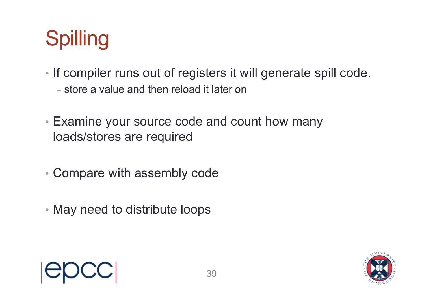# Spilling

- If compiler runs out of registers it will generate spill code.
	- store a value and then reload it later on
- Examine your source code and count how many loads/stores are required
- Compare with assembly code
- May need to distribute loops



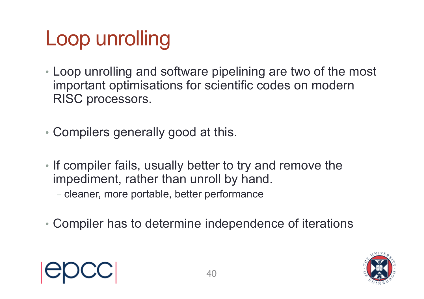# Loop unrolling

• Loop unrolling and software pipelining are two of the most important optimisations for scientific codes on modern RISC processors.

• Compilers generally good at this.

- If compiler fails, usually better to try and remove the impediment, rather than unroll by hand.
	- cleaner, more portable, better performance
- Compiler has to determine independence of iterations



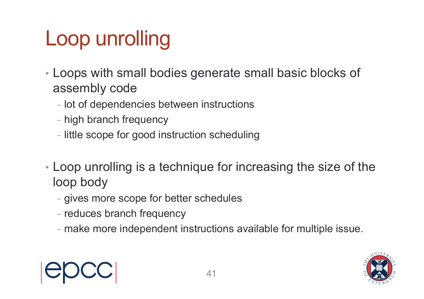# Loop unrolling

- Loops with small bodies generate small basic blocks of assembly code
	- lot of dependencies between instructions
	- high branch frequency
	- little scope for good instruction scheduling
- Loop unrolling is a technique for increasing the size of the loop body
	- gives more scope for better schedules
	- reduces branch frequency
	- make more independent instructions available for multiple issue.



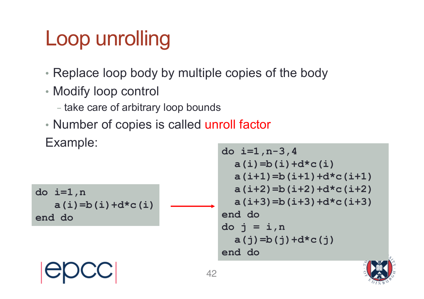# Loop unrolling

- Replace loop body by multiple copies of the body
- Modify loop control
	- take care of arbitrary loop bounds
- Number of copies is called unroll factor

Example:

**do i=1,n a(i)=b(i)+d\*c(i) end do do i=1,n-3,4 a(i)=b(i)+d\*c(i) a(i+1)=b(i+1)+d\*c(i+1) a(i+2)=b(i+2)+d\*c(i+2) a(i+3)=b(i+3)+d\*c(i+3) end do do j = i,n a(j)=b(j)+d\*c(j) end do** 42

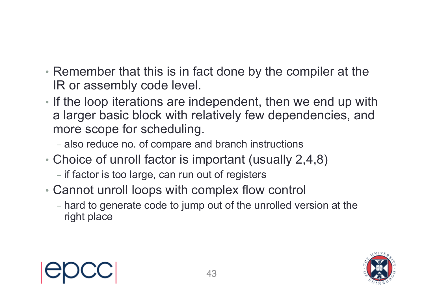- Remember that this is in fact done by the compiler at the IR or assembly code level.
- If the loop iterations are independent, then we end up with a larger basic block with relatively few dependencies, and more scope for scheduling.
	- also reduce no. of compare and branch instructions
- Choice of unroll factor is important (usually 2,4,8)
	- if factor is too large, can run out of registers
- Cannot unroll loops with complex flow control
	- hard to generate code to jump out of the unrolled version at the right place

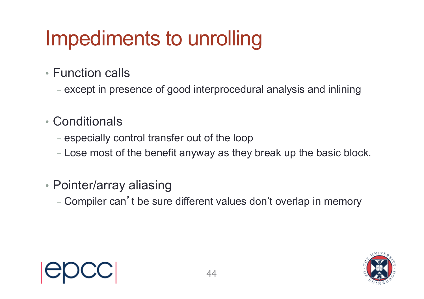# Impediments to unrolling

- Function calls
	- except in presence of good interprocedural analysis and inlining
- Conditionals
	- especially control transfer out of the loop
	- Lose most of the benefit anyway as they break up the basic block.
- Pointer/array aliasing
	- Compiler can't be sure different values don't overlap in memory

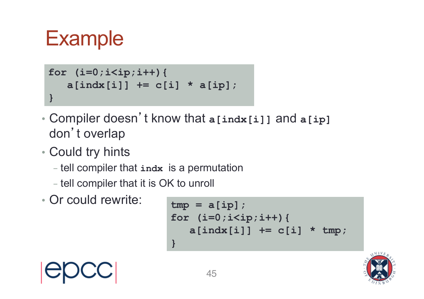#### **Example**

```
for (i=0;i<ip;i++){
   a[indx[i]] += c[i] * a[ip]; 
}
```
- Compiler doesn't know that **a[indx[i]]** and **a[ip]** don't overlap
- Could try hints
	- tell compiler that **indx** is a permutation
	- tell compiler that it is OK to unroll
- Or could rewrite:

```
tmp = a[ip];
for (i=0;i<ip;i++){
   a[indx[i]] += c[i] * tmp; 
}
```
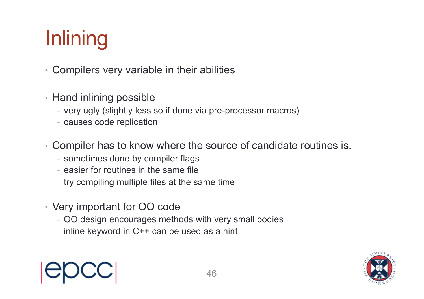# **Inlining**

- Compilers very variable in their abilities
- Hand inlining possible
	- very ugly (slightly less so if done via pre-processor macros)
	- causes code replication
- Compiler has to know where the source of candidate routines is.
	- sometimes done by compiler flags
	- easier for routines in the same file
	- try compiling multiple files at the same time
- Very important for OO code
	- OO design encourages methods with very small bodies
	- $-$  inline keyword in C++ can be used as a hint



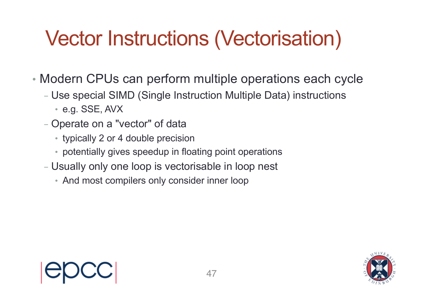# Vector Instructions (Vectorisation)

- Modern CPUs can perform multiple operations each cycle
	- Use special SIMD (Single Instruction Multiple Data) instructions
		- e.g. SSE, AVX
	- Operate on a "vector" of data
		- typically 2 or 4 double precision
		- potentially gives speedup in floating point operations
	- Usually only one loop is vectorisable in loop nest
		- And most compilers only consider inner loop

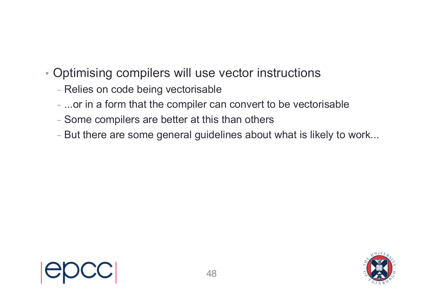- Optimising compilers will use vector instructions
	- Relies on code being vectorisable
	- ...or in a form that the compiler can convert to be vectorisable
	- Some compilers are better at this than others
	- But there are some general guidelines about what is likely to work...

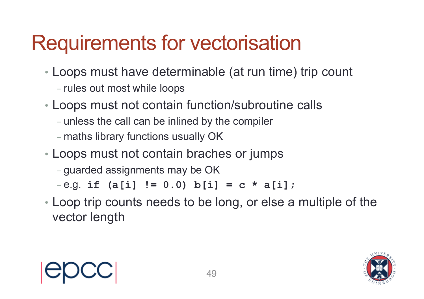# Requirements for vectorisation

- Loops must have determinable (at run time) trip count
	- rules out most while loops
- Loops must not contain function/subroutine calls
	- unless the call can be inlined by the compiler
	- maths library functions usually OK
- Loops must not contain braches or jumps
	- guarded assignments may be OK

 $-e.g.$  if  $(a[i] := 0.0) b[i] = c * a[i];$ 

• Loop trip counts needs to be long, or else a multiple of the vector length

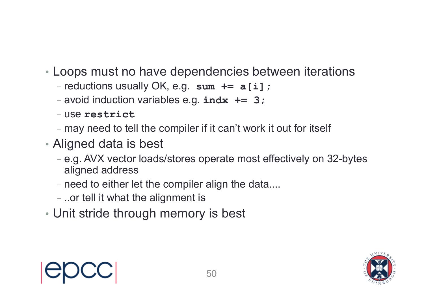- Loops must no have dependencies between iterations
	- reductions usually OK, e.g. **sum += a[i];**
	- avoid induction variables e.g. **indx += 3;**
	- use **restrict**
	- may need to tell the compiler if it can't work it out for itself
- Aligned data is best
	- e.g. AVX vector loads/stores operate most effectively on 32-bytes aligned address
	- need to either let the compiler align the data....
	- ..or tell it what the alignment is
- Unit stride through memory is best



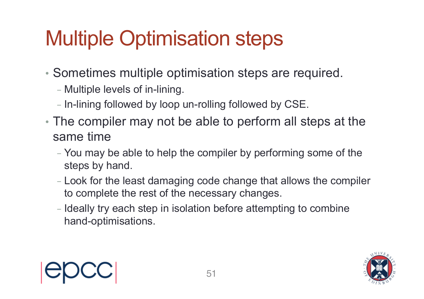# Multiple Optimisation steps

- Sometimes multiple optimisation steps are required.
	- Multiple levels of in-lining.
	- In-lining followed by loop un-rolling followed by CSE.
- The compiler may not be able to perform all steps at the same time
	- You may be able to help the compiler by performing some of the steps by hand.
	- Look for the least damaging code change that allows the compiler to complete the rest of the necessary changes.
	- Ideally try each step in isolation before attempting to combine hand-optimisations.



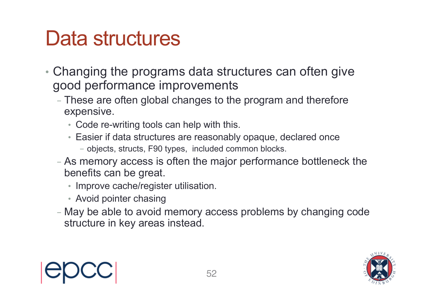#### Data structures

- Changing the programs data structures can often give good performance improvements
	- These are often global changes to the program and therefore expensive.
		- Code re-writing tools can help with this.
		- Easier if data structures are reasonably opaque, declared once
			- objects, structs, F90 types, included common blocks.
	- As memory access is often the major performance bottleneck the benefits can be great.
		- Improve cache/register utilisation.
		- Avoid pointer chasing
	- May be able to avoid memory access problems by changing code structure in key areas instead.



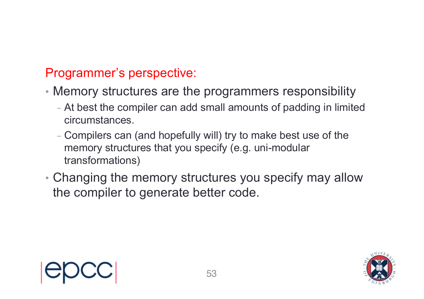#### Programmer's perspective:

- Memory structures are the programmers responsibility
	- At best the compiler can add small amounts of padding in limited circumstances.
	- Compilers can (and hopefully will) try to make best use of the memory structures that you specify (e.g. uni-modular transformations)
- Changing the memory structures you specify may allow the compiler to generate better code.

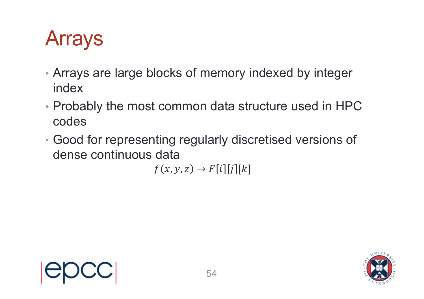## Arrays

- Arrays are large blocks of memory indexed by integer index
- Probably the most common data structure used in HPC codes
- Good for representing regularly discretised versions of dense continuous data

 $f(x, y, z) \rightarrow F[i][j][k]$ 

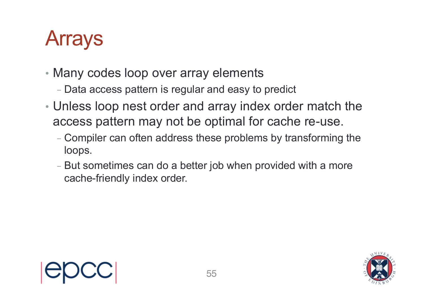## Arrays

- Many codes loop over array elements
	- Data access pattern is regular and easy to predict
- Unless loop nest order and array index order match the access pattern may not be optimal for cache re-use.
	- Compiler can often address these problems by transforming the loops.
	- But sometimes can do a better job when provided with a more cache-friendly index order.

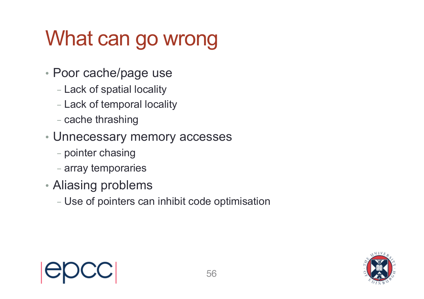# What can go wrong

- Poor cache/page use
	- Lack of spatial locality
	- Lack of temporal locality
	- cache thrashing
- Unnecessary memory accesses
	- pointer chasing
	- array temporaries
- Aliasing problems
	- Use of pointers can inhibit code optimisation

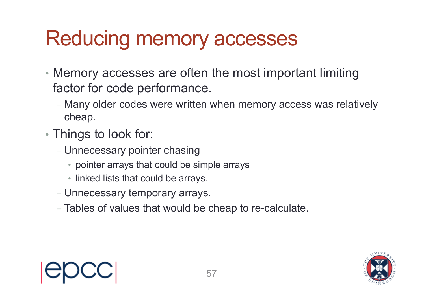### Reducing memory accesses

- Memory accesses are often the most important limiting factor for code performance.
	- Many older codes were written when memory access was relatively cheap.
- Things to look for:
	- Unnecessary pointer chasing
		- pointer arrays that could be simple arrays
		- linked lists that could be arrays.
	- Unnecessary temporary arrays.
	- Tables of values that would be cheap to re-calculate.

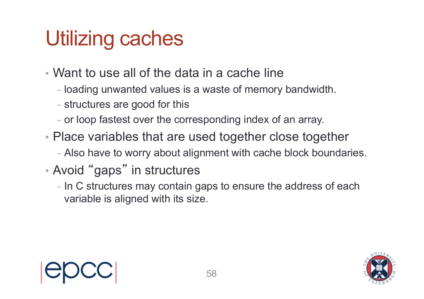# Utilizing caches

- Want to use all of the data in a cache line
	- loading unwanted values is a waste of memory bandwidth.
	- structures are good for this
	- or loop fastest over the corresponding index of an array.
- Place variables that are used together close together
	- Also have to worry about alignment with cache block boundaries.
- Avoid " gaps " in structures
	- In C structures may contain gaps to ensure the address of each variable is aligned with its size.

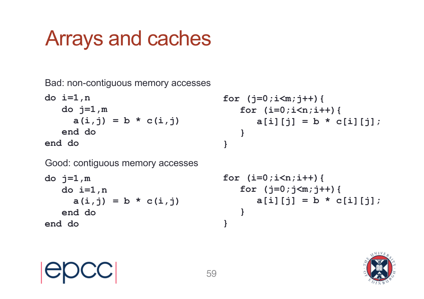### Arrays and caches

Bad: non-contiguous memory accesses

**do i=1,n do j=1,m**  $a(i, j) = b * c(i, j)$ **end do end do**

```
for (j=0;i<m;j++){
   for (i=0;i<n;i++){
      a[i][j] = b * c[i][j];}
```
Good: contiguous memory accesses

```
do j=1,m
   do i=1,n
     a(i, j) = b * c(i, j)end do
end do
```

```
for (i=0;i<n;i++){
   for (j=0;j<m;j++){
      a[i][j] = b * c[i][j];}
}
```


**}**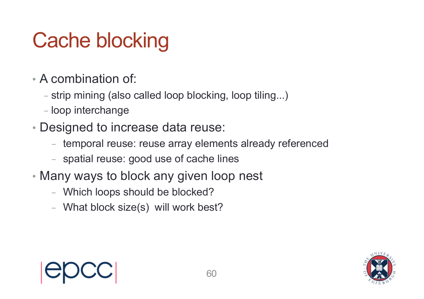# Cache blocking

- A combination of:
	- strip mining (also called loop blocking, loop tiling...)
	- loop interchange
- Designed to increase data reuse:
	- temporal reuse: reuse array elements already referenced
	- spatial reuse: good use of cache lines
- Many ways to block any given loop nest
	- Which loops should be blocked?
	- What block size(s) will work best?

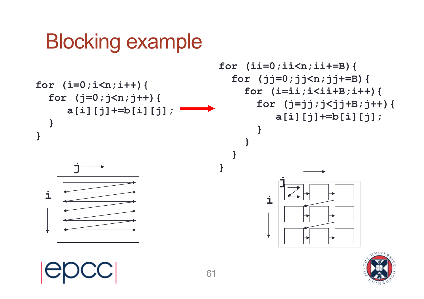#### Blocking example



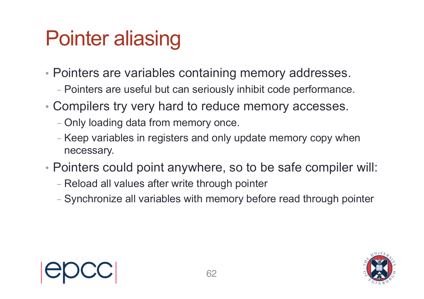# Pointer aliasing

- Pointers are variables containing memory addresses.
	- Pointers are useful but can seriously inhibit code performance.
- Compilers try very hard to reduce memory accesses.
	- Only loading data from memory once.
	- Keep variables in registers and only update memory copy when necessary.
- Pointers could point anywhere, so to be safe compiler will:
	- Reload all values after write through pointer
	- Synchronize all variables with memory before read through pointer

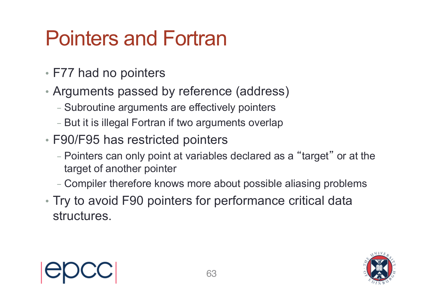### Pointers and Fortran

- F77 had no pointers
- Arguments passed by reference (address)
	- Subroutine arguments are effectively pointers
	- But it is illegal Fortran if two arguments overlap
- F90/F95 has restricted pointers
	- Pointers can only point at variables declared as a "target" or at the target of another pointer
	- Compiler therefore knows more about possible aliasing problems
- Try to avoid F90 pointers for performance critical data structures.



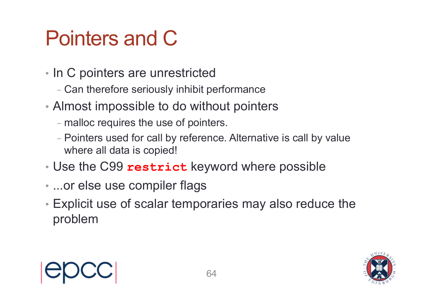# Pointers and C

- In C pointers are unrestricted
	- Can therefore seriously inhibit performance
- Almost impossible to do without pointers
	- malloc requires the use of pointers.
	- Pointers used for call by reference. Alternative is call by value where all data is copied!
- Use the C99 **restrict** keyword where possible
- ...or else use compiler flags
- Explicit use of scalar temporaries may also reduce the problem